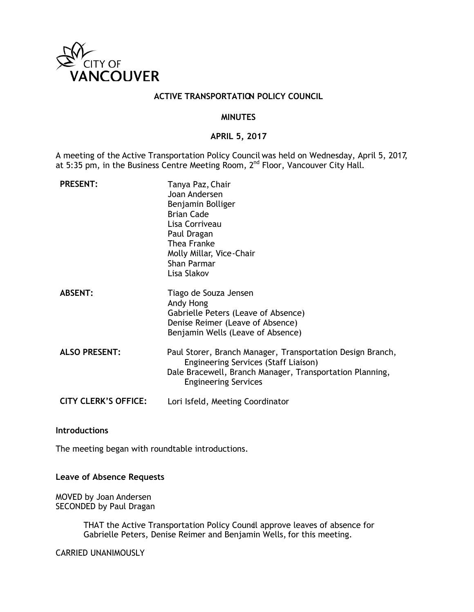

## **ACTIVE TRANSPORTATION POLICY COUNCIL**

## **MINUTES**

## **APRIL 5, 2017**

A meeting of the Active Transportation Policy Council was held on Wednesday, April 5, 2017, at 5:35 pm, in the Business Centre Meeting Room, 2<sup>nd</sup> Floor, Vancouver City Hall.

| <b>PRESENT:</b>             | Tanya Paz, Chair<br>Joan Andersen<br>Benjamin Bolliger<br><b>Brian Cade</b><br>Lisa Corriveau<br>Paul Dragan<br>Thea Franke<br>Molly Millar, Vice-Chair<br>Shan Parmar<br>Lisa Slakov         |
|-----------------------------|-----------------------------------------------------------------------------------------------------------------------------------------------------------------------------------------------|
| <b>ABSENT:</b>              | Tiago de Souza Jensen<br>Andy Hong<br>Gabrielle Peters (Leave of Absence)<br>Denise Reimer (Leave of Absence)<br>Benjamin Wells (Leave of Absence)                                            |
| <b>ALSO PRESENT:</b>        | Paul Storer, Branch Manager, Transportation Design Branch,<br>Engineering Services (Staff Liaison)<br>Dale Bracewell, Branch Manager, Transportation Planning,<br><b>Engineering Services</b> |
| <b>CITY CLERK'S OFFICE:</b> | Lori Isfeld, Meeting Coordinator                                                                                                                                                              |

## **Introductions**

The meeting began with roundtable introductions.

## **Leave of Absence Requests**

MOVED by Joan Andersen SECONDED by Paul Dragan

> THAT the Active Transportation Policy Coundl approve leaves of absence for Gabrielle Peters, Denise Reimer and Benjamin Wells, for this meeting.

CARRIED UNANIMOUSLY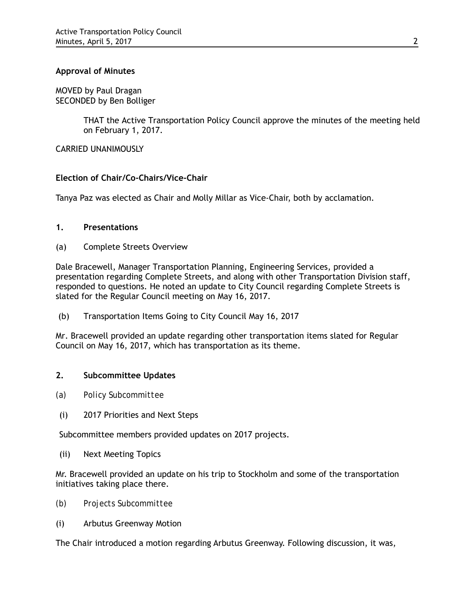## **Approval of Minutes**

MOVED by Paul Dragan SECONDED by Ben Bolliger

> THAT the Active Transportation Policy Council approve the minutes of the meeting held on February 1, 2017.

CARRIED UNANIMOUSLY

## **Election of Chair/Co-Chairs/Vice-Chair**

Tanya Paz was elected as Chair and Molly Millar as Vice-Chair, both by acclamation.

## **1. Presentations**

(a) Complete Streets Overview

Dale Bracewell, Manager Transportation Planning, Engineering Services, provided a presentation regarding Complete Streets, and along with other Transportation Division staff, responded to questions. He noted an update to City Council regarding Complete Streets is slated for the Regular Council meeting on May 16, 2017.

(b) Transportation Items Going to City Council May 16, 2017

Mr. Bracewell provided an update regarding other transportation items slated for Regular Council on May 16, 2017, which has transportation as its theme.

## **2. Subcommittee Updates**

- *(a) Policy Subcommittee*
- (i) 2017 Priorities and Next Steps

Subcommittee members provided updates on 2017 projects.

(ii) Next Meeting Topics

Mr. Bracewell provided an update on his trip to Stockholm and some of the transportation initiatives taking place there.

- *(b) Projects Subcommittee*
- (i) Arbutus Greenway Motion

The Chair introduced a motion regarding Arbutus Greenway. Following discussion, it was,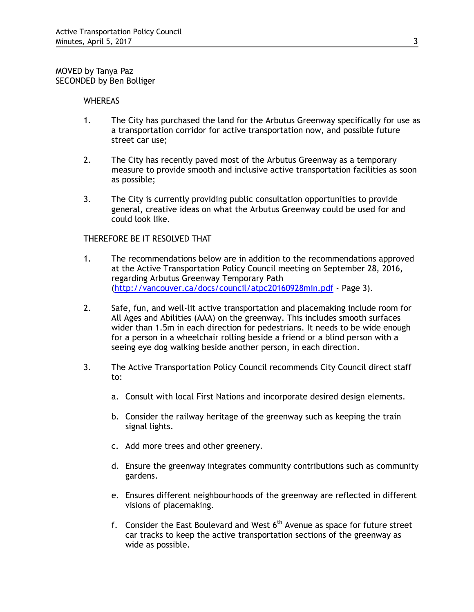MOVED by Tanya Paz SECONDED by Ben Bolliger

#### **WHEREAS**

- 1. The City has purchased the land for the Arbutus Greenway specifically for use as a transportation corridor for active transportation now, and possible future street car use;
- 2. The City has recently paved most of the Arbutus Greenway as a temporary measure to provide smooth and inclusive active transportation facilities as soon as possible;
- 3. The City is currently providing public consultation opportunities to provide general, creative ideas on what the Arbutus Greenway could be used for and could look like.

## THEREFORE BE IT RESOLVED THAT

- 1. The recommendations below are in addition to the recommendations approved at the Active Transportation Policy Council meeting on September 28, 2016, regarding Arbutus Greenway Temporary Path [\(http://vancouver.ca/docs/council/atpc20160928min.pdf](http://vancouver.ca/docs/council/atpc20160928min.pdf) - Page 3).
- 2. Safe, fun, and well-lit active transportation and placemaking include room for All Ages and Abilities (AAA) on the greenway. This includes smooth surfaces wider than 1.5m in each direction for pedestrians. It needs to be wide enough for a person in a wheelchair rolling beside a friend or a blind person with a seeing eye dog walking beside another person, in each direction.
- 3. The Active Transportation Policy Council recommends City Council direct staff to:
	- a. Consult with local First Nations and incorporate desired design elements.
	- b. Consider the railway heritage of the greenway such as keeping the train signal lights.
	- c. Add more trees and other greenery.
	- d. Ensure the greenway integrates community contributions such as community gardens.
	- e. Ensures different neighbourhoods of the greenway are reflected in different visions of placemaking.
	- f. Consider the East Boulevard and West  $6<sup>th</sup>$  Avenue as space for future street car tracks to keep the active transportation sections of the greenway as wide as possible.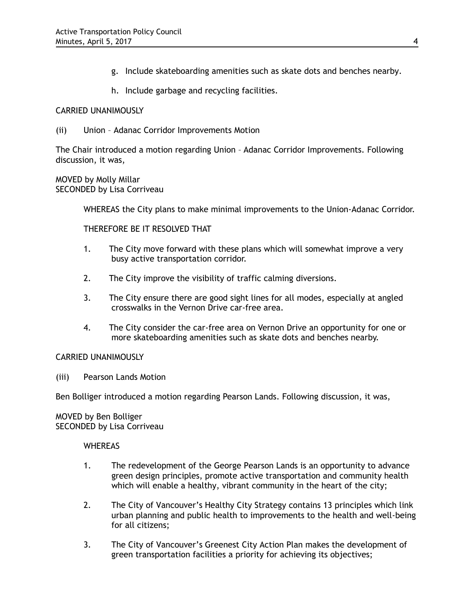- g. Include skateboarding amenities such as skate dots and benches nearby.
- h. Include garbage and recycling facilities.

## CARRIED UNANIMOUSLY

(ii) Union – Adanac Corridor Improvements Motion

The Chair introduced a motion regarding Union – Adanac Corridor Improvements. Following discussion, it was,

MOVED by Molly Millar SECONDED by Lisa Corriveau

WHEREAS the City plans to make minimal improvements to the Union-Adanac Corridor.

THEREFORE BE IT RESOLVED THAT

- 1. The City move forward with these plans which will somewhat improve a very busy active transportation corridor.
- 2. The City improve the visibility of traffic calming diversions.
- 3. The City ensure there are good sight lines for all modes, especially at angled crosswalks in the Vernon Drive car-free area.
- 4. The City consider the car-free area on Vernon Drive an opportunity for one or more skateboarding amenities such as skate dots and benches nearby.

## CARRIED UNANIMOUSLY

(iii) Pearson Lands Motion

Ben Bolliger introduced a motion regarding Pearson Lands. Following discussion, it was,

## MOVED by Ben Bolliger SECONDED by Lisa Corriveau

## **WHEREAS**

- 1. The redevelopment of the George Pearson Lands is an opportunity to advance green design principles, promote active transportation and community health which will enable a healthy, vibrant community in the heart of the city;
- 2. The City of Vancouver's Healthy City Strategy contains 13 principles which link urban planning and public health to improvements to the health and well-being for all citizens;
- 3. The City of Vancouver's Greenest City Action Plan makes the development of green transportation facilities a priority for achieving its objectives;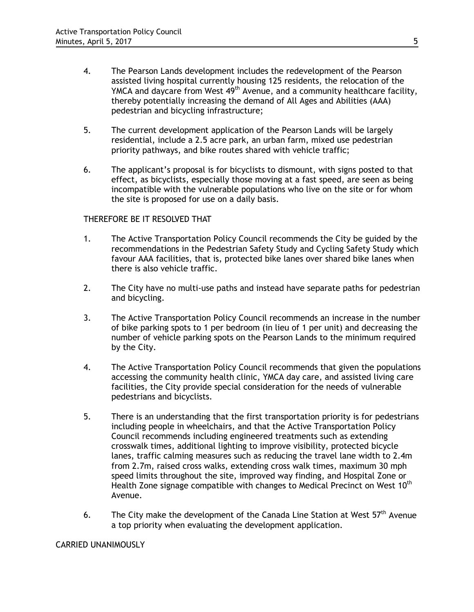- 4. The Pearson Lands development includes the redevelopment of the Pearson assisted living hospital currently housing 125 residents, the relocation of the YMCA and daycare from West  $49<sup>th</sup>$  Avenue, and a community healthcare facility, thereby potentially increasing the demand of All Ages and Abilities (AAA) pedestrian and bicycling infrastructure;
- 5. The current development application of the Pearson Lands will be largely residential, include a 2.5 acre park, an urban farm, mixed use pedestrian priority pathways, and bike routes shared with vehicle traffic;
- 6. The applicant's proposal is for bicyclists to dismount, with signs posted to that effect, as bicyclists, especially those moving at a fast speed, are seen as being incompatible with the vulnerable populations who live on the site or for whom the site is proposed for use on a daily basis.

## THEREFORE BE IT RESOLVED THAT

- 1. The Active Transportation Policy Council recommends the City be guided by the recommendations in the Pedestrian Safety Study and Cycling Safety Study which favour AAA facilities, that is, protected bike lanes over shared bike lanes when there is also vehicle traffic.
- 2. The City have no multi-use paths and instead have separate paths for pedestrian and bicycling.
- 3. The Active Transportation Policy Council recommends an increase in the number of bike parking spots to 1 per bedroom (in lieu of 1 per unit) and decreasing the number of vehicle parking spots on the Pearson Lands to the minimum required by the City.
- 4. The Active Transportation Policy Council recommends that given the populations accessing the community health clinic, YMCA day care, and assisted living care facilities, the City provide special consideration for the needs of vulnerable pedestrians and bicyclists.
- 5. There is an understanding that the first transportation priority is for pedestrians including people in wheelchairs, and that the Active Transportation Policy Council recommends including engineered treatments such as extending crosswalk times, additional lighting to improve visibility, protected bicycle lanes, traffic calming measures such as reducing the travel lane width to 2.4m from 2.7m, raised cross walks, extending cross walk times, maximum 30 mph speed limits throughout the site, improved way finding, and Hospital Zone or Health Zone signage compatible with changes to Medical Precinct on West 10<sup>th</sup> Avenue.
- 6. The City make the development of the Canada Line Station at West  $57<sup>th</sup>$  Avenue a top priority when evaluating the development application.

## CARRIED UNANIMOUSLY